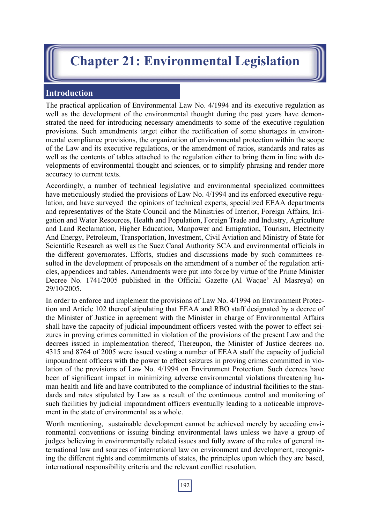## **Chapter 21: Environmental Legislation**

## **Introduction**

The practical application of Environmental Law No. 4/1994 and its executive regulation as well as the development of the environmental thought during the past years have demonstrated the need for introducing necessary amendments to some of the executive regulation provisions. Such amendments target either the rectification of some shortages in environmental compliance provisions, the organization of environmental protection within the scope of the Law and its executive regulations, or the amendment of ratios, standards and rates as well as the contents of tables attached to the regulation either to bring them in line with developments of environmental thought and sciences, or to simplify phrasing and render more accuracy to current texts.

Accordingly, a number of technical legislative and environmental specialized committees have meticulously studied the provisions of Law No. 4/1994 and its enforced executive regulation, and have surveyed the opinions of technical experts, specialized EEAA departments and representatives of the State Council and the Ministries of Interior, Foreign Affairs, Irrigation and Water Resources, Health and Population, Foreign Trade and Industry, Agriculture and Land Reclamation, Higher Education, Manpower and Emigration, Tourism, Electricity And Energy, Petroleum, Transportation, Investment, Civil Aviation and Ministry of State for Scientific Research as well as the Suez Canal Authority SCA and environmental officials in the different governorates. Efforts, studies and discussions made by such committees resulted in the development of proposals on the amendment of a number of the regulation articles, appendices and tables. Amendments were put into force by virtue of the Prime Minister Decree No. 1741/2005 published in the Official Gazette (Al Waqae' Al Masreya) on 29/10/2005.

In order to enforce and implement the provisions of Law No. 4/1994 on Environment Protection and Article 102 thereof stipulating that EEAA and RBO staff designated by a decree of the Minister of Justice in agreement with the Minister in charge of Environmental Affairs shall have the capacity of judicial impoundment officers vested with the power to effect seizures in proving crimes committed in violation of the provisions of the present Law and the decrees issued in implementation thereof, Thereupon, the Minister of Justice decrees no. 4315 and 8764 of 2005 were issued vesting a number of EEAA staff the capacity of judicial impoundment officers with the power to effect seizures in proving crimes committed in violation of the provisions of Law No. 4/1994 on Environment Protection. Such decrees have been of significant impact in minimizing adverse environmental violations threatening human health and life and have contributed to the compliance of industrial facilities to the standards and rates stipulated by Law as a result of the continuous control and monitoring of such facilities by judicial impoundment officers eventually leading to a noticeable improvement in the state of environmental as a whole.

Worth mentioning, sustainable development cannot be achieved merely by acceding environmental conventions or issuing binding environmental laws unless we have a group of judges believing in environmentally related issues and fully aware of the rules of general international law and sources of international law on environment and development, recognizing the different rights and commitments of states, the principles upon which they are based, international responsibility criteria and the relevant conflict resolution.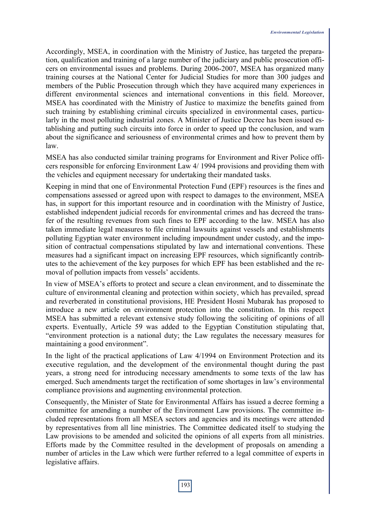Accordingly, MSEA, in coordination with the Ministry of Justice, has targeted the preparation, qualification and training of a large number of the judiciary and public prosecution officers on environmental issues and problems. During 2006-2007, MSEA has organized many training courses at the National Center for Judicial Studies for more than 300 judges and members of the Public Prosecution through which they have acquired many experiences in different environmental sciences and international conventions in this field. Moreover, MSEA has coordinated with the Ministry of Justice to maximize the benefits gained from such training by establishing criminal circuits specialized in environmental cases, particularly in the most polluting industrial zones. A Minister of Justice Decree has been issued establishing and putting such circuits into force in order to speed up the conclusion, and warn about the significance and seriousness of environmental crimes and how to prevent them by law.

MSEA has also conducted similar training programs for Environment and River Police officers responsible for enforcing Environment Law 4/ 1994 provisions and providing them with the vehicles and equipment necessary for undertaking their mandated tasks.

Keeping in mind that one of Environmental Protection Fund (EPF) resources is the fines and compensations assessed or agreed upon with respect to damages to the environment, MSEA has, in support for this important resource and in coordination with the Ministry of Justice, established independent judicial records for environmental crimes and has decreed the transfer of the resulting revenues from such fines to EPF according to the law. MSEA has also taken immediate legal measures to file criminal lawsuits against vessels and establishments polluting Egyptian water environment including impoundment under custody, and the imposition of contractual compensations stipulated by law and international conventions. These measures had a significant impact on increasing EPF resources, which significantly contributes to the achievement of the key purposes for which EPF has been established and the removal of pollution impacts from vessels' accidents.

In view of MSEA's efforts to protect and secure a clean environment, and to disseminate the culture of environmental cleaning and protection within society, which has prevailed, spread and reverberated in constitutional provisions, HE President Hosni Mubarak has proposed to introduce a new article on environment protection into the constitution. In this respect MSEA has submitted a relevant extensive study following the soliciting of opinions of all experts. Eventually, Article 59 was added to the Egyptian Constitution stipulating that, "environment protection is a national duty; the Law regulates the necessary measures for maintaining a good environment".

In the light of the practical applications of Law 4/1994 on Environment Protection and its executive regulation, and the development of the environmental thought during the past years, a strong need for introducing necessary amendments to some texts of the law has emerged. Such amendments target the rectification of some shortages in law's environmental compliance provisions and augmenting environmental protection.

Consequently, the Minister of State for Environmental Affairs has issued a decree forming a committee for amending a number of the Environment Law provisions. The committee included representations from all MSEA sectors and agencies and its meetings were attended by representatives from all line ministries. The Committee dedicated itself to studying the Law provisions to be amended and solicited the opinions of all experts from all ministries. Efforts made by the Committee resulted in the development of proposals on amending a number of articles in the Law which were further referred to a legal committee of experts in legislative affairs.